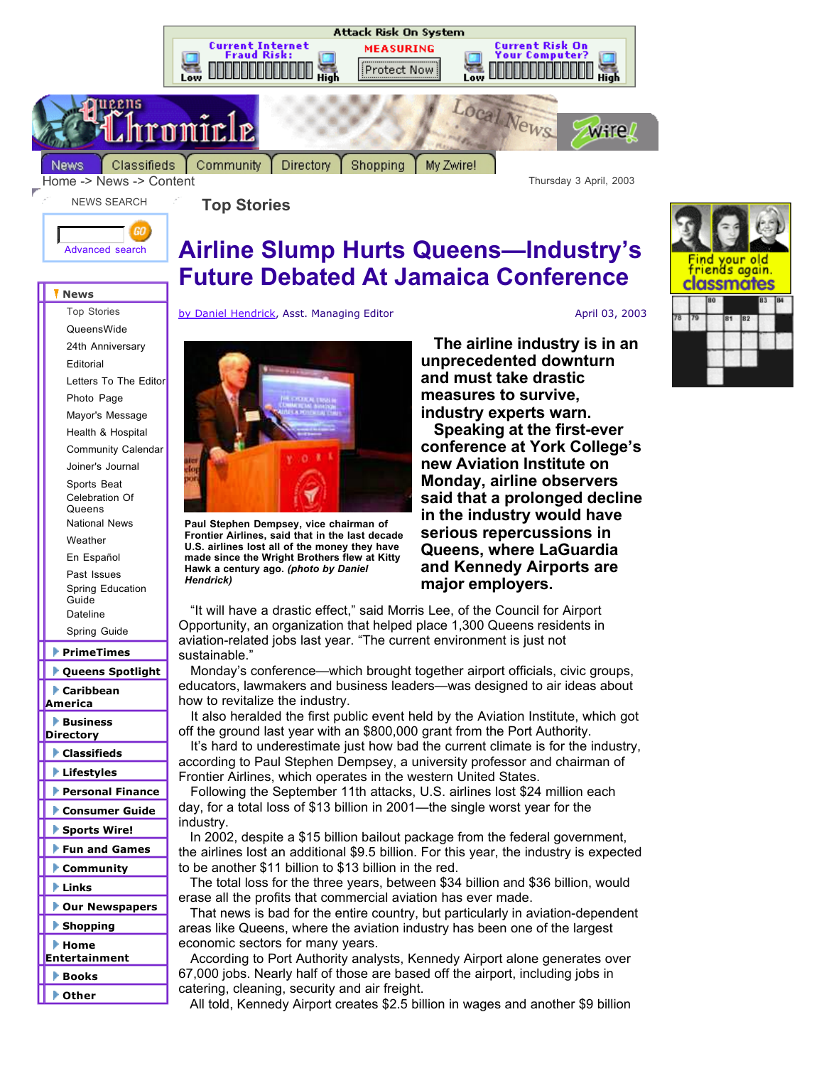

Directory Shopping My Zwire!



Home -> News -> Content Thursday 3 April, 2003

NEWS SEARCH

**Top Stories**



## **Airline Slump Hurts Queens—Industry's Future Debated At Jamaica Conference**

**News**

Top Stories QueensWide 24th Anniversary Editorial Letters To The Editor Photo Page Mayor's Message Health & Hospital Community Calendar Joiner's Journal Sports Beat Celebration Of **Queens** National News Weather En Español Past Issues Spring Education **Guide** Dateline

Spring Guide

**PrimeTimes**

- **Queens Spotlight**
- **Caribbean America**
- **Business Directory**
- **Classifieds**
- **Lifestyles**
- **Personal Finance**
- **Consumer Guide**
- **Sports Wire!**
- **Fun and Games**
- **Community**
- **Links**
- **Our Newspapers**
- **Shopping**
- **Home**
- **Entertainment**
- **Books**
- **Other**

## by Daniel Hendrick, Asst. Managing Editor April 03, 2003



**Paul Stephen Dempsey, vice chairman of Frontier Airlines, said that in the last decade U.S. airlines lost all of the money they have made since the Wright Brothers flew at Kitty Hawk a century ago.** *(photo by Daniel Hendrick)*

 **The airline industry is in an unprecedented downturn and must take drastic measures to survive, industry experts warn.**

 **Speaking at the first-ever conference at York College's new Aviation Institute on Monday, airline observers said that a prolonged decline in the industry would have serious repercussions in Queens, where LaGuardia and Kennedy Airports are major employers.**

 "It will have a drastic effect," said Morris Lee, of the Council for Airport Opportunity, an organization that helped place 1,300 Queens residents in aviation-related jobs last year. "The current environment is just not sustainable."

 Monday's conference—which brought together airport officials, civic groups, educators, lawmakers and business leaders—was designed to air ideas about how to revitalize the industry.

 It also heralded the first public event held by the Aviation Institute, which got off the ground last year with an \$800,000 grant from the Port Authority.

 It's hard to underestimate just how bad the current climate is for the industry, according to Paul Stephen Dempsey, a university professor and chairman of Frontier Airlines, which operates in the western United States.

 Following the September 11th attacks, U.S. airlines lost \$24 million each day, for a total loss of \$13 billion in 2001—the single worst year for the industry.

 In 2002, despite a \$15 billion bailout package from the federal government, the airlines lost an additional \$9.5 billion. For this year, the industry is expected to be another \$11 billion to \$13 billion in the red.

 The total loss for the three years, between \$34 billion and \$36 billion, would erase all the profits that commercial aviation has ever made.

 That news is bad for the entire country, but particularly in aviation-dependent areas like Queens, where the aviation industry has been one of the largest economic sectors for many years.

 According to Port Authority analysts, Kennedy Airport alone generates over 67,000 jobs. Nearly half of those are based off the airport, including jobs in catering, cleaning, security and air freight.

All told, Kennedy Airport creates \$2.5 billion in wages and another \$9 billion